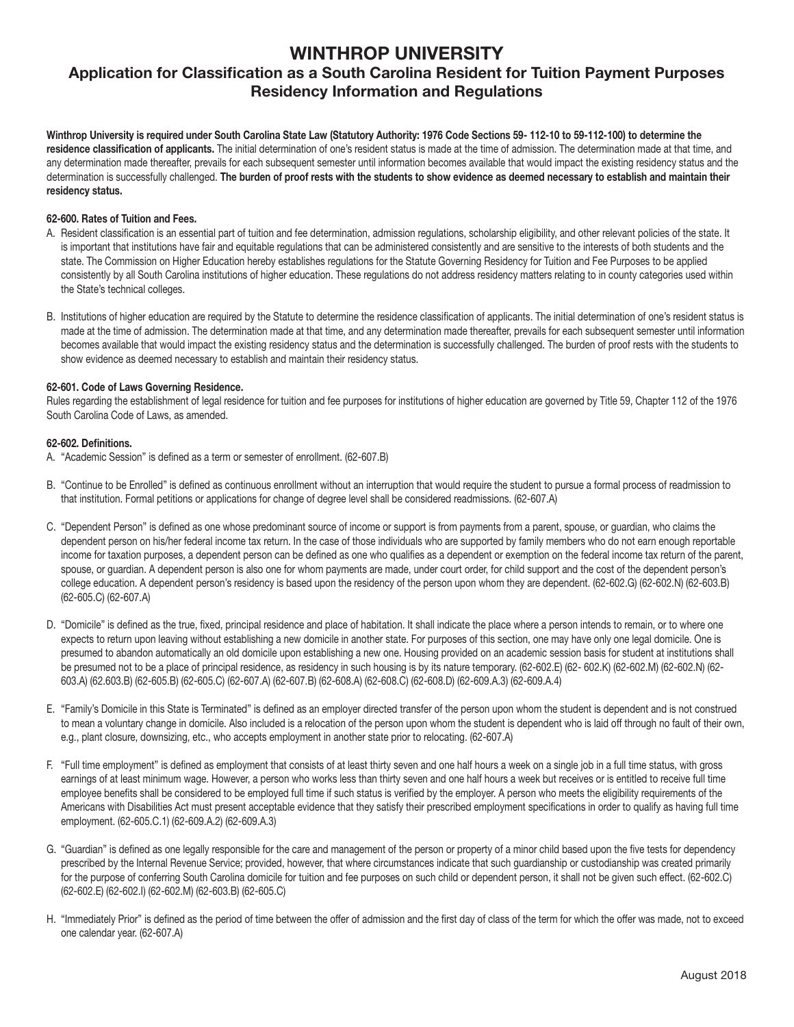# WINTHROP UNIVERSITY

# Application for Classification as a South Carolina Resident for Tuition Payment Purposes Residency Information and Regulations

Winthrop University is required under South Carolina State Law (Statutory Authority: 1976 Code Sections 59- 112-10 to 59-112-100) to determine the residence classification of applicants. The initial determination of one's resident status is made at the time of admission. The determination made at that time, and any determination made thereafter, prevails for each subsequent semester until information becomes available that would impact the existing residency status and the determination is successfully challenged. The burden of proof rests with the students to show evidence as deemed necessary to establish and maintain their residency status.

#### 62-600. Rates of Tuition and Fees.

- A. Resident classification is an essential part of tuition and fee determination, admission regulations, scholarship eligibility, and other relevant policies of the state. It is important that institutions have fair and equitable regulations that can be administered consistently and are sensitive to the interests of both students and the state. The Commission on Higher Education hereby establishes regulations for the Statute Governing Residency for Tuition and Fee Purposes to be applied consistently by all South Carolina institutions of higher education. These regulations do not address residency matters relating to in county categories used within the State's technical colleges.
- B. Institutions of higher education are required by the Statute to determine the residence classification of applicants. The initial determination of one's resident status is made at the time of admission. The determination made at that time, and any determination made thereafter, prevails for each subsequent semester until information becomes available that would impact the existing residency status and the determination is successfully challenged. The burden of proof rests with the students to show evidence as deemed necessary to establish and maintain their residency status.

#### 62-601. Code of Laws Governing Residence.

Rules regarding the establishment of legal residence for tuition and fee purposes for institutions of higher education are governed by Title 59, Chapter 112 of the 1976 South Carolina Code of Laws, as amended.

#### 62-602. Definitions.

A. "Academic Session" is defined as a term or semester of enrollment. (62-607.B)

- B. "Continue to be Enrolled" is defined as continuous enrollment without an interruption that would require the student to pursue a formal process of readmission to that institution. Formal petitions or applications for change of degree level shall be considered readmissions. (62-607.A)
- C. "Dependent Person" is defined as one whose predominant source of income or support is from payments from a parent, spouse, or guardian, who claims the dependent person on his/her federal income tax return. In the case of those individuals who are supported by family members who do not earn enough reportable income for taxation purposes, a dependent person can be defined as one who qualifies as a dependent or exemption on the federal income tax return of the parent, spouse, or quardian. A dependent person is also one for whom payments are made, under court order, for child support and the cost of the dependent person's college education. A dependent person's residency is based upon the residency of the person upon whom they are dependent. (62-602.G) (62-602.N) (62-603.B) (62-605.C) (62-607.A)
- D. "Domicile" is defined as the true, fixed, principal residence and place of habitation. It shall indicate the place where a person intends to remain, or to where one expects to return upon leaving without establishing a new domicile in another state. For purposes of this section, one may have only one legal domicile. One is presumed to abandon automatically an old domicile upon establishing a new one. Housing provided on an academic session basis for student at institutions shall be presumed not to be a place of principal residence, as residency in such housing is by its nature temporary. (62-602.E) (62-602.K) (62-602.M) (62-602.M) (62-602.M) (62-602.M) 603.A) (62.603.B) (62-605.B) (62-605.C) (62-607.A) (62-607.B) (62-608.A) (62-608.C) (62-608.D) (62-609.A.3) (62-609.A.4)
- E. "Family's Domicile in this State is Terminated" is defined as an employer directed transfer of the person upon whom the student is dependent and is not construed to mean a voluntary change in domicile. Also included is a relocation of the person upon whom the student is dependent who is laid off through no fault of their own, e.g., plant closure, downsizing, etc., who accepts employment in another state prior to relocating. (62-607.A)
- F. "Full time employment" is defined as employment that consists of at least thirty seven and one half hours a week on a single job in a full time status, with gross earnings of at least minimum wage. However, a person who works less than thirty seven and one half hours a week but receives or is entitled to receive full time employee benefits shall be considered to be employed full time if such status is verified by the employer. A person who meets the eligibility requirements of the Americans with Disabilities Act must present acceptable evidence that they satisfy their prescribed employment specifications in order to qualify as having full time employment. (62-605.C.1) (62-609.A.2) (62-609.A.3)
- G. "Guardian" is defined as one legally responsible for the care and management of the person or property of a minor child based upon the five tests for dependency prescribed by the Internal Revenue Service; provided, however, that where circumstances indicate that such guardianship or custodianship was created primarily for the purpose of conferring South Carolina domicile for tuition and fee purposes on such child or dependent person, it shall not be given such effect. (62-602.C) (62-602.E) (62-602.I) (62-602.M) (62-603.B) (62-605.C)
- H. "Immediately Prior" is defined as the period of time between the offer of admission and the first day of class of the term for which the offer was made, not to exceed one calendar year. (62-607.A)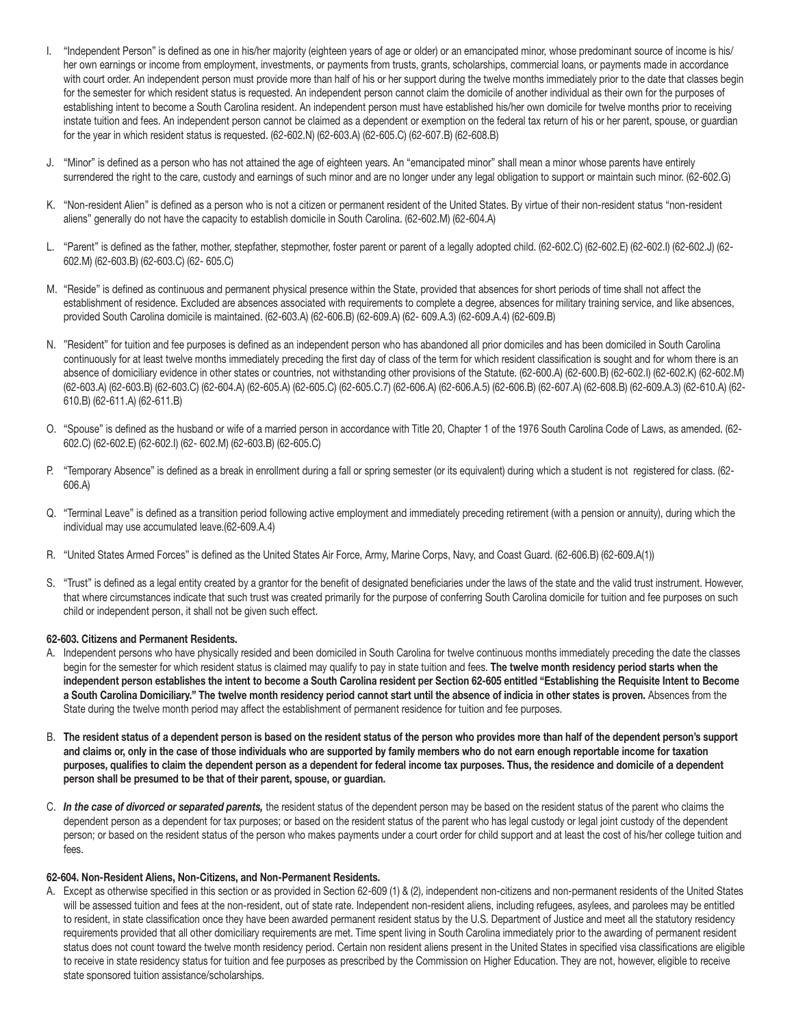- I. "Independent Person" is defined as one in his/her majority (eighteen years of age or older) or an emancipated minor, whose predominant source of income is his/ her own earnings or income from employment, investments, or payments from trusts, grants, scholarships, commercial loans, or payments made in accordance with court order. An independent person must provide more than half of his or her support during the twelve months immediately prior to the date that classes begin for the semester for which resident status is requested. An independent person cannot claim the domicile of another individual as their own for the purposes of establishing intent to become a South Carolina resident. An independent person must have established his/her own domicile for twelve months prior to receiving instate tuition and fees. An independent person cannot be claimed as a dependent or exemption on the federal tax return of his or her parent, spouse, or guardian for the year in which resident status is requested. (62-602.N) (62-603.A) (62-605.C) (62-607.B) (62-608.B)
- J. "Minor" is defined as a person who has not attained the age of eighteen years. An "emancipated minor" shall mean a minor whose parents have entirely surrendered the right to the care, custody and earnings of such minor and are no longer under any legal obligation to support or maintain such minor. (62-602.G)
- K. "Non-resident Alien" is defined as a person who is not a citizen or permanent resident of the United States. By virtue of their non-resident status "non-resident aliens" generally do not have the capacity to establish domicile in South Carolina. (62-602.M) (62-604.A)
- L. "Parent" is defined as the father, mother, stepfather, stepmother, foster parent or parent of a legally adopted child. (62-602.C) (62-602.E) (62-602.I) (62-602.J) (62- 602.M) (62-603.B) (62-603.C) (62- 605.C)
- M. "Reside" is defined as continuous and permanent physical presence within the State, provided that absences for short periods of time shall not affect the establishment of residence. Excluded are absences associated with requirements to complete a degree, absences for military training service, and like absences, provided South Carolina domicile is maintained. (62-603.A) (62-606.B) (62-609.A) (62- 609.A.3) (62-609.A.4) (62-609.B)
- N. "Resident" for tuition and fee purposes is defined as an independent person who has abandoned all prior domiciles and has been domiciled in South Carolina continuously for at least twelve months immediately preceding the first day of class of the term for which resident classification is sought and for whom there is an absence of domiciliary evidence in other states or countries, not withstanding other provisions of the Statute. (62-600.A) (62-600.B) (62-602.I) (62-602.K) (62-602.M) (62-603.A) (62-603.B) (62-603.C) (62-604.A) (62-605.A) (62-605.C) (62-605.C.7) (62-606.A) (62-606.A.5) (62-606.B) (62-607.A) (62-608.B) (62-609.A.3) (62-610.A) (62- 610.B) (62-611.A) (62-611.B)
- O. "Spouse" is defined as the husband or wife of a married person in accordance with Title 20, Chapter 1 of the 1976 South Carolina Code of Laws, as amended. (62- 602.C) (62-602.E) (62-602.I) (62- 602.M) (62-603.B) (62-605.C)
- P. "Temporary Absence" is defined as a break in enrollment during a fall or spring semester (or its equivalent) during which a student is not registered for class. (62- 606.A)
- Q. "Terminal Leave" is defined as a transition period following active employment and immediately preceding retirement (with a pension or annuity), during which the individual may use accumulated leave.(62-609.A.4)
- R. "United States Armed Forces" is defined as the United States Air Force, Army, Marine Corps, Navy, and Coast Guard. (62-606.B) (62-609.A(1))
- S. "Trust" is defined as a legal entity created by a grantor for the benefit of designated beneficiaries under the laws of the state and the valid trust instrument. However, that where circumstances indicate that such trust was created primarily for the purpose of conferring South Carolina domicile for tuition and fee purposes on such child or independent person, it shall not be given such effect.

#### 62-603. Citizens and Permanent Residents.

- A. Independent persons who have physically resided and been domiciled in South Carolina for twelve continuous months immediately preceding the date the classes begin for the semester for which resident status is claimed may qualify to pay in state tuition and fees. The twelve month residency period starts when the independent person establishes the intent to become a South Carolina resident per Section 62-605 entitled "Establishing the Requisite Intent to Become a South Carolina Domiciliary." The twelve month residency period cannot start until the absence of indicia in other states is proven. Absences from the State during the twelve month period may affect the establishment of permanent residence for tuition and fee purposes.
- B. The resident status of a dependent person is based on the resident status of the person who provides more than half of the dependent person's support and claims or, only in the case of those individuals who are supported by family members who do not earn enough reportable income for taxation purposes, qualifies to claim the dependent person as a dependent for federal income tax purposes. Thus, the residence and domicile of a dependent person shall be presumed to be that of their parent, spouse, or guardian.
- C. *In the case of divorced or separated parents,* the resident status of the dependent person may be based on the resident status of the parent who claims the dependent person as a dependent for tax purposes; or based on the resident status of the parent who has legal custody or legal joint custody of the dependent person; or based on the resident status of the person who makes payments under a court order for child support and at least the cost of his/her college tuition and fees.

#### 62-604. Non-Resident Aliens, Non-Citizens, and Non-Permanent Residents.

A. Except as otherwise specified in this section or as provided in Section 62-609 (1) & (2), independent non-citizens and non-permanent residents of the United States will be assessed tuition and fees at the non-resident, out of state rate. Independent non-resident aliens, including refugees, asylees, and parolees may be entitled to resident, in state classification once they have been awarded permanent resident status by the U.S. Department of Justice and meet all the statutory residency requirements provided that all other domiciliary requirements are met. Time spent living in South Carolina immediately prior to the awarding of permanent resident status does not count toward the twelve month residency period. Certain non resident aliens present in the United States in specified visa classifications are eligible to receive in state residency status for tuition and fee purposes as prescribed by the Commission on Higher Education. They are not, however, eligible to receive state sponsored tuition assistance/scholarships.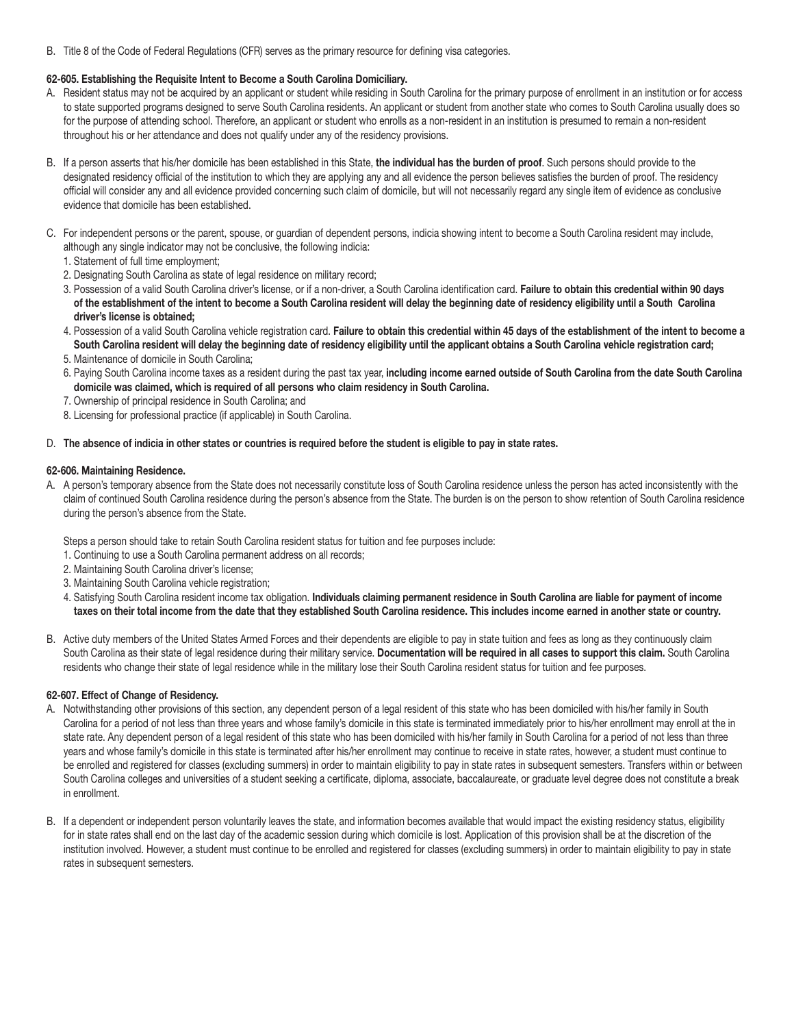B. Title 8 of the Code of Federal Regulations (CFR) serves as the primary resource for defining visa categories.

## 62-605. Establishing the Requisite Intent to Become a South Carolina Domiciliary.

- A. Resident status may not be acquired by an applicant or student while residing in South Carolina for the primary purpose of enrollment in an institution or for access to state supported programs designed to serve South Carolina residents. An applicant or student from another state who comes to South Carolina usually does so for the purpose of attending school. Therefore, an applicant or student who enrolls as a non-resident in an institution is presumed to remain a non-resident throughout his or her attendance and does not qualify under any of the residency provisions.
- B. If a person asserts that his/her domicile has been established in this State, the individual has the burden of proof. Such persons should provide to the designated residency official of the institution to which they are applying any and all evidence the person believes satisfies the burden of proof. The residency official will consider any and all evidence provided concerning such claim of domicile, but will not necessarily regard any single item of evidence as conclusive evidence that domicile has been established.
- C. For independent persons or the parent, spouse, or guardian of dependent persons, indicia showing intent to become a South Carolina resident may include, although any single indicator may not be conclusive, the following indicia:
	- 1. Statement of full time employment;
	- 2. Designating South Carolina as state of legal residence on military record;
	- 3. Possession of a valid South Carolina driver's license, or if a non-driver, a South Carolina identification card. Failure to obtain this credential within 90 days of the establishment of the intent to become a South Carolina resident will delay the beginning date of residency eligibility until a South Carolina driver's license is obtained;
	- 4. Possession of a valid South Carolina vehicle registration card. Failure to obtain this credential within 45 days of the establishment of the intent to become a South Carolina resident will delay the beginning date of residency eligibility until the applicant obtains a South Carolina vehicle registration card;
	- 5. Maintenance of domicile in South Carolina;
	- 6. Paying South Carolina income taxes as a resident during the past tax year, including income earned outside of South Carolina from the date South Carolina domicile was claimed, which is required of all persons who claim residency in South Carolina.
	- 7. Ownership of principal residence in South Carolina; and
	- 8. Licensing for professional practice (if applicable) in South Carolina.
- D. The absence of indicia in other states or countries is required before the student is eligible to pay in state rates.

#### 62-606. Maintaining Residence.

A. A person's temporary absence from the State does not necessarily constitute loss of South Carolina residence unless the person has acted inconsistently with the claim of continued South Carolina residence during the person's absence from the State. The burden is on the person to show retention of South Carolina residence during the person's absence from the State.

Steps a person should take to retain South Carolina resident status for tuition and fee purposes include:

- 1. Continuing to use a South Carolina permanent address on all records;
- 2. Maintaining South Carolina driver's license;
- 3. Maintaining South Carolina vehicle registration;
- 4. Satisfying South Carolina resident income tax obligation. Individuals claiming permanent residence in South Carolina are liable for payment of income taxes on their total income from the date that they established South Carolina residence. This includes income earned in another state or country.
- B. Active duty members of the United States Armed Forces and their dependents are eligible to pay in state tuition and fees as long as they continuously claim South Carolina as their state of legal residence during their military service. Documentation will be required in all cases to support this claim. South Carolina residents who change their state of legal residence while in the military lose their South Carolina resident status for tuition and fee purposes.

#### 62-607. Effect of Change of Residency.

- A. Notwithstanding other provisions of this section, any dependent person of a legal resident of this state who has been domiciled with his/her family in South Carolina for a period of not less than three years and whose family's domicile in this state is terminated immediately prior to his/her enrollment may enroll at the in state rate. Any dependent person of a legal resident of this state who has been domiciled with his/her family in South Carolina for a period of not less than three years and whose family's domicile in this state is terminated after his/her enrollment may continue to receive in state rates, however, a student must continue to be enrolled and registered for classes (excluding summers) in order to maintain eligibility to pay in state rates in subsequent semesters. Transfers within or between South Carolina colleges and universities of a student seeking a certificate, diploma, associate, baccalaureate, or graduate level degree does not constitute a break in enrollment.
- B. If a dependent or independent person voluntarily leaves the state, and information becomes available that would impact the existing residency status, eligibility for in state rates shall end on the last day of the academic session during which domicile is lost. Application of this provision shall be at the discretion of the institution involved. However, a student must continue to be enrolled and registered for classes (excluding summers) in order to maintain eligibility to pay in state rates in subsequent semesters.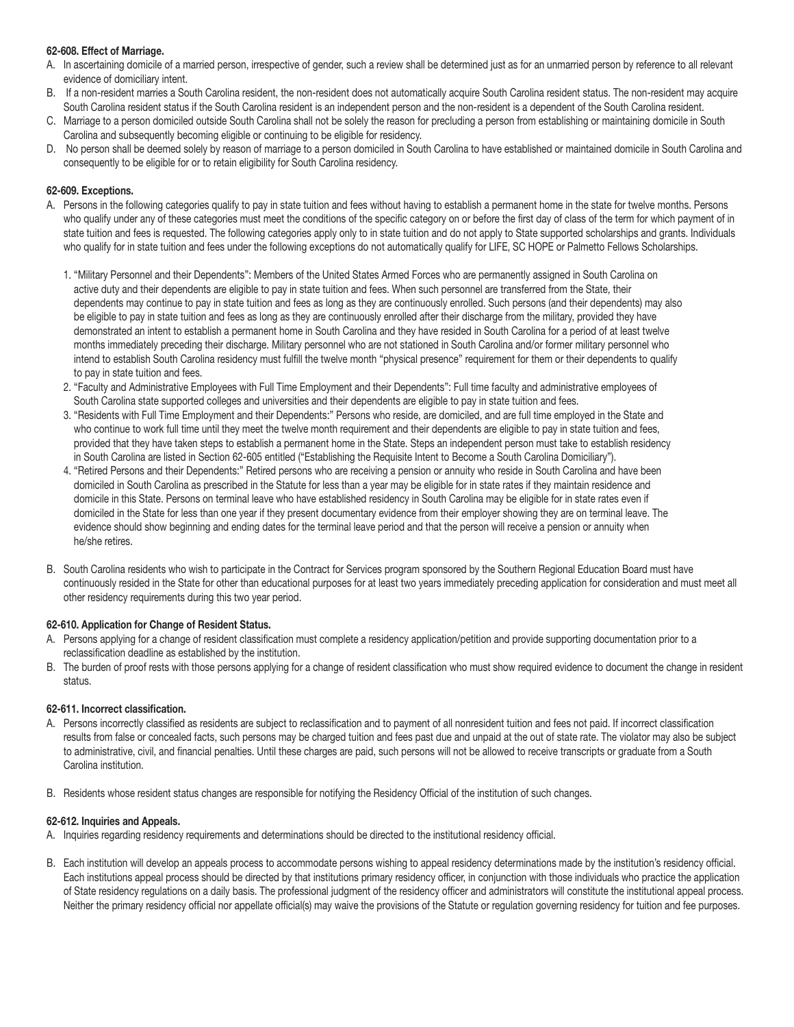#### 62-608. Effect of Marriage.

- A. In ascertaining domicile of a married person, irrespective of gender, such a review shall be determined just as for an unmarried person by reference to all relevant evidence of domiciliary intent.
- B. If a non-resident marries a South Carolina resident, the non-resident does not automatically acquire South Carolina resident status. The non-resident may acquire South Carolina resident status if the South Carolina resident is an independent person and the non-resident is a dependent of the South Carolina resident.
- C. Marriage to a person domiciled outside South Carolina shall not be solely the reason for precluding a person from establishing or maintaining domicile in South Carolina and subsequently becoming eligible or continuing to be eligible for residency.
- D. No person shall be deemed solely by reason of marriage to a person domiciled in South Carolina to have established or maintained domicile in South Carolina and consequently to be eligible for or to retain eligibility for South Carolina residency.

#### 62-609. Exceptions.

- A. Persons in the following categories qualify to pay in state tuition and fees without having to establish a permanent home in the state for twelve months. Persons who qualify under any of these categories must meet the conditions of the specific category on or before the first day of class of the term for which payment of in state tuition and fees is requested. The following categories apply only to in state tuition and do not apply to State supported scholarships and grants. Individuals who qualify for in state tuition and fees under the following exceptions do not automatically qualify for LIFE, SC HOPE or Palmetto Fellows Scholarships.
	- 1. "Military Personnel and their Dependents": Members of the United States Armed Forces who are permanently assigned in South Carolina on active duty and their dependents are eligible to pay in state tuition and fees. When such personnel are transferred from the State, their dependents may continue to pay in state tuition and fees as long as they are continuously enrolled. Such persons (and their dependents) may also be eligible to pay in state tuition and fees as long as they are continuously enrolled after their discharge from the military, provided they have demonstrated an intent to establish a permanent home in South Carolina and they have resided in South Carolina for a period of at least twelve months immediately preceding their discharge. Military personnel who are not stationed in South Carolina and/or former military personnel who intend to establish South Carolina residency must fulfill the twelve month "physical presence" requirement for them or their dependents to qualify to pay in state tuition and fees.
	- 2. "Faculty and Administrative Employees with Full Time Employment and their Dependents": Full time faculty and administrative employees of South Carolina state supported colleges and universities and their dependents are eligible to pay in state tuition and fees.
	- 3. "Residents with Full Time Employment and their Dependents:" Persons who reside, are domiciled, and are full time employed in the State and who continue to work full time until they meet the twelve month requirement and their dependents are eligible to pay in state tuition and fees, provided that they have taken steps to establish a permanent home in the State. Steps an independent person must take to establish residency in South Carolina are listed in Section 62-605 entitled ("Establishing the Requisite Intent to Become a South Carolina Domiciliary").
	- 4. "Retired Persons and their Dependents:" Retired persons who are receiving a pension or annuity who reside in South Carolina and have been domiciled in South Carolina as prescribed in the Statute for less than a year may be eligible for in state rates if they maintain residence and domicile in this State. Persons on terminal leave who have established residency in South Carolina may be eligible for in state rates even if domiciled in the State for less than one year if they present documentary evidence from their employer showing they are on terminal leave. The evidence should show beginning and ending dates for the terminal leave period and that the person will receive a pension or annuity when he/she retires.
- B. South Carolina residents who wish to participate in the Contract for Services program sponsored by the Southern Regional Education Board must have continuously resided in the State for other than educational purposes for at least two years immediately preceding application for consideration and must meet all other residency requirements during this two year period.

#### 62-610. Application for Change of Resident Status.

- A. Persons applying for a change of resident classification must complete a residency application/petition and provide supporting documentation prior to a reclassification deadline as established by the institution.
- B. The burden of proof rests with those persons applying for a change of resident classification who must show required evidence to document the change in resident status.

#### 62-611. Incorrect classification.

- A. Persons incorrectly classified as residents are subject to reclassification and to payment of all nonresident tuition and fees not paid. If incorrect classification results from false or concealed facts, such persons may be charged tuition and fees past due and unpaid at the out of state rate. The violator may also be subject to administrative, civil, and financial penalties. Until these charges are paid, such persons will not be allowed to receive transcripts or graduate from a South Carolina institution.
- B. Residents whose resident status changes are responsible for notifying the Residency Official of the institution of such changes.

#### 62-612. Inquiries and Appeals.

- A. Inquiries regarding residency requirements and determinations should be directed to the institutional residency official.
- B. Each institution will develop an appeals process to accommodate persons wishing to appeal residency determinations made by the institution's residency official. Each institutions appeal process should be directed by that institutions primary residency officer, in conjunction with those individuals who practice the application of State residency regulations on a daily basis. The professional judgment of the residency officer and administrators will constitute the institutional appeal process. Neither the primary residency official nor appellate official(s) may waive the provisions of the Statute or regulation governing residency for tuition and fee purposes.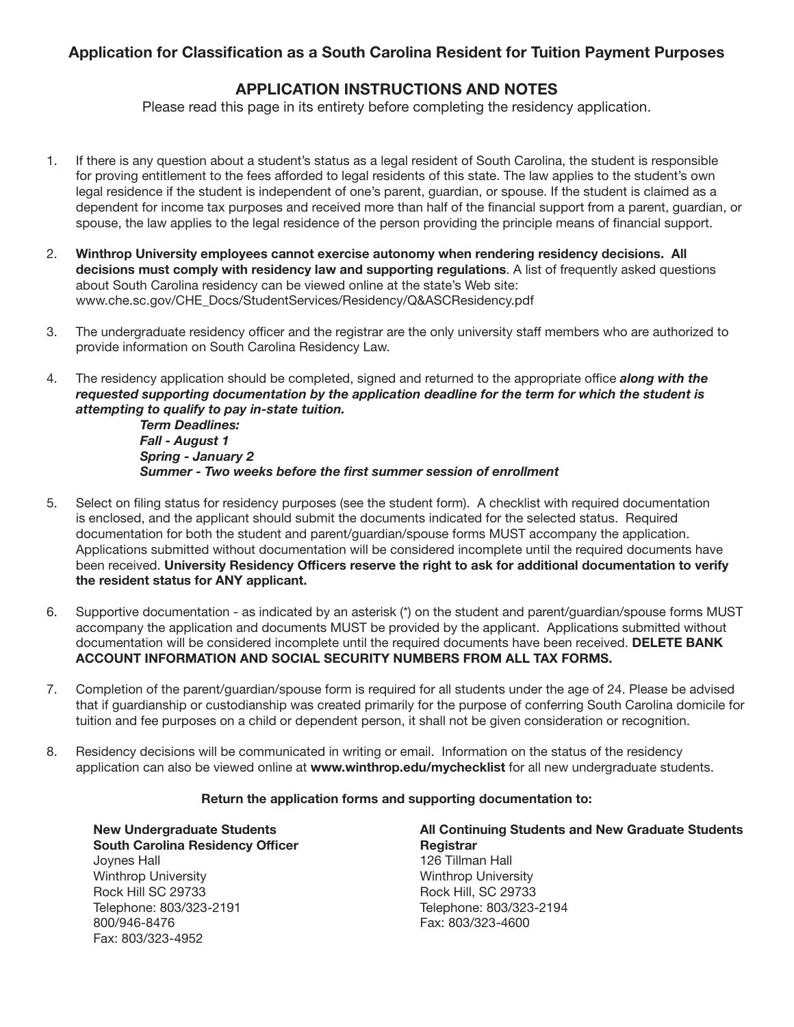## Application for Classification as a South Carolina Resident for Tuition Payment Purposes

## APPLICATION INSTRUCTIONS AND NOTES

Please read this page in its entirety before completing the residency application.

- 1. If there is any question about a student's status as a legal resident of South Carolina, the student is responsible for proving entitlement to the fees afforded to legal residents of this state. The law applies to the student's own legal residence if the student is independent of one's parent, guardian, or spouse. If the student is claimed as a dependent for income tax purposes and received more than half of the financial support from a parent, guardian, or spouse, the law applies to the legal residence of the person providing the principle means of financial support.
- 2. Winthrop University employees cannot exercise autonomy when rendering residency decisions. All decisions must comply with residency law and supporting regulations. A list of frequently asked questions about South Carolina residency can be viewed online at the state's Web site: www.che.sc.gov/CHE\_Docs/StudentServices/Residency/Q&ASCResidency.pdf
- 3. The undergraduate residency officer and the registrar are the only university staff members who are authorized to provide information on South Carolina Residency Law.
- 4. The residency application should be completed, signed and returned to the appropriate office *along with the requested supporting documentation by the application deadline for the term for which the student is attempting to qualify to pay in-state tuition.*

 *Term Deadlines: Fall - August 1 Spring - January 2 Summer - Two weeks before the first summer session of enrollment*

- 5. Select on filing status for residency purposes (see the student form). A checklist with required documentation is enclosed, and the applicant should submit the documents indicated for the selected status. Required documentation for both the student and parent/guardian/spouse forms MUST accompany the application. Applications submitted without documentation will be considered incomplete until the required documents have been received. University Residency Officers reserve the right to ask for additional documentation to verify the resident status for ANY applicant.
- 6. Supportive documentation as indicated by an asterisk (\*) on the student and parent/guardian/spouse forms MUST accompany the application and documents MUST be provided by the applicant. Applications submitted without documentation will be considered incomplete until the required documents have been received. DELETE BANK ACCOUNT INFORMATION AND SOCIAL SECURITY NUMBERS FROM ALL TAX FORMS.
- 7. Completion of the parent/guardian/spouse form is required for all students under the age of 24. Please be advised that if guardianship or custodianship was created primarily for the purpose of conferring South Carolina domicile for tuition and fee purposes on a child or dependent person, it shall not be given consideration or recognition.
- 8. Residency decisions will be communicated in writing or email. Information on the status of the residency application can also be viewed online at www.winthrop.edu/mychecklist for all new undergraduate students.

## Return the application forms and supporting documentation to:

South Carolina Residency Officer **Registrar** Registrar Joynes Hall 126 Tillman Hall Winthrop University **Winthrop University** Rock Hill SC 29733 Rock Hill, SC 29733 Telephone: 803/323-2191 Telephone: 803/323-2194 800/946-8476 Fax: 803/323-4600 Fax: 803/323-4952

# New Undergraduate Students **All Continuing Students and New Graduate Students**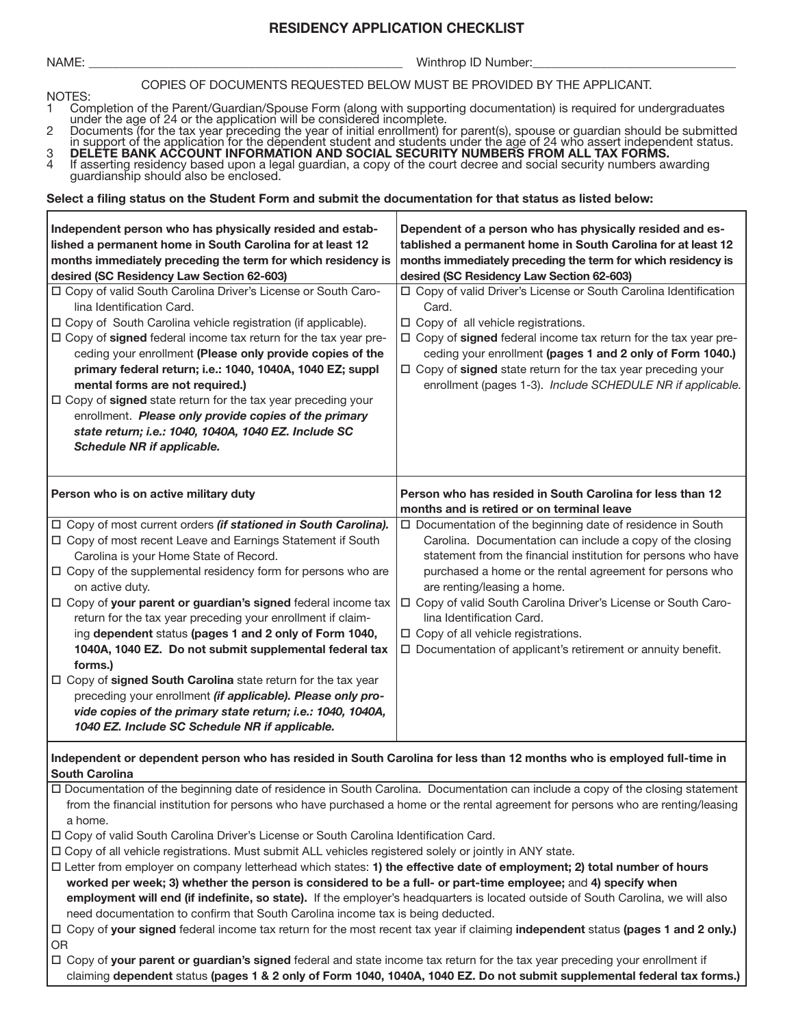## RESIDENCY APPLICATION CHECKLIST

NAME: \_\_\_\_\_\_\_\_\_\_\_\_\_\_\_\_\_\_\_\_\_\_\_\_\_\_\_\_\_\_\_\_\_\_\_\_\_\_\_\_\_\_\_\_\_\_\_\_\_\_\_ Winthrop ID Number:\_\_\_\_\_\_\_\_\_\_\_\_\_\_\_\_\_\_\_\_\_\_\_\_\_\_\_\_\_\_\_\_\_

#### COPIES OF DOCUMENTS REQUESTED BELOW MUST BE PROVIDED BY THE APPLICANT.

- NOTES:<br>1 Com 1 Completion of the Parent/Guardian/Spouse Form (along with supporting documentation) is required for undergraduates under the age of 24 or the application will be considered incomplete.
- 2 Documents (for the tax year preceding the year of initial enrollment) for parent(s), spouse or guardian should be submitted in support of the application for the dependent student and students under the age of 24 who assert independent status.
- 3 DELETE BANK ACCOUNT INFORMATION AND SOCIAL SECURITY NUMBERS FROM ALL TAX FORMS. 4 If asserting residency based upon a legal guardian, a copy of the court decree and social security numbers awarding guardianship should also be enclosed.

#### Select a filing status on the Student Form and submit the documentation for that status as listed below:

| Independent person who has physically resided and estab-<br>lished a permanent home in South Carolina for at least 12<br>months immediately preceding the term for which residency is<br>desired (SC Residency Law Section 62-603)<br>□ Copy of valid South Carolina Driver's License or South Caro-<br>lina Identification Card.<br>□ Copy of South Carolina vehicle registration (if applicable).<br>□ Copy of signed federal income tax return for the tax year pre-<br>ceding your enrollment (Please only provide copies of the<br>primary federal return; i.e.: 1040, 1040A, 1040 EZ; suppl<br>mental forms are not required.)<br>□ Copy of signed state return for the tax year preceding your<br>enrollment. Please only provide copies of the primary<br>state return; i.e.: 1040, 1040A, 1040 EZ. Include SC<br>Schedule NR if applicable. | Dependent of a person who has physically resided and es-<br>tablished a permanent home in South Carolina for at least 12<br>months immediately preceding the term for which residency is<br>desired (SC Residency Law Section 62-603)<br>□ Copy of valid Driver's License or South Carolina Identification<br>Card.<br>□ Copy of all vehicle registrations.<br>□ Copy of signed federal income tax return for the tax year pre-<br>ceding your enrollment (pages 1 and 2 only of Form 1040.)<br>□ Copy of signed state return for the tax year preceding your<br>enrollment (pages 1-3). Include SCHEDULE NR if applicable. |
|------------------------------------------------------------------------------------------------------------------------------------------------------------------------------------------------------------------------------------------------------------------------------------------------------------------------------------------------------------------------------------------------------------------------------------------------------------------------------------------------------------------------------------------------------------------------------------------------------------------------------------------------------------------------------------------------------------------------------------------------------------------------------------------------------------------------------------------------------|-----------------------------------------------------------------------------------------------------------------------------------------------------------------------------------------------------------------------------------------------------------------------------------------------------------------------------------------------------------------------------------------------------------------------------------------------------------------------------------------------------------------------------------------------------------------------------------------------------------------------------|
| Person who is on active military duty                                                                                                                                                                                                                                                                                                                                                                                                                                                                                                                                                                                                                                                                                                                                                                                                                | Person who has resided in South Carolina for less than 12<br>months and is retired or on terminal leave                                                                                                                                                                                                                                                                                                                                                                                                                                                                                                                     |
| □ Copy of most current orders (if stationed in South Carolina).<br>□ Copy of most recent Leave and Earnings Statement if South<br>Carolina is your Home State of Record.<br>$\Box$ Copy of the supplemental residency form for persons who are<br>on active duty.<br>□ Copy of your parent or guardian's signed federal income tax<br>return for the tax year preceding your enrollment if claim-<br>ing dependent status (pages 1 and 2 only of Form 1040,<br>1040A, 1040 EZ. Do not submit supplemental federal tax<br>forms.)<br>$\Box$ Copy of signed South Carolina state return for the tax year<br>preceding your enrollment (if applicable). Please only pro-<br>vide copies of the primary state return; i.e.: 1040, 1040A,<br>1040 EZ. Include SC Schedule NR if applicable.                                                               | □ Documentation of the beginning date of residence in South<br>Carolina. Documentation can include a copy of the closing<br>statement from the financial institution for persons who have<br>purchased a home or the rental agreement for persons who<br>are renting/leasing a home.<br>□ Copy of valid South Carolina Driver's License or South Caro-<br>lina Identification Card.<br>□ Copy of all vehicle registrations.<br>□ Documentation of applicant's retirement or annuity benefit.                                                                                                                                |
| Independent or dependent person who has resided in South Carolina for less than 12 months who is employed full-time in<br><b>South Carolina</b>                                                                                                                                                                                                                                                                                                                                                                                                                                                                                                                                                                                                                                                                                                      |                                                                                                                                                                                                                                                                                                                                                                                                                                                                                                                                                                                                                             |
| a home.<br>□ Copy of valid South Carolina Driver's License or South Carolina Identification Card.<br>□ Copy of all vehicle registrations. Must submit ALL vehicles registered solely or jointly in ANY state.<br>□ Letter from employer on company letterhead which states: 1) the effective date of employment; 2) total number of hours<br>worked per week; 3) whether the person is considered to be a full- or part-time employee; and 4) specify when<br>need documentation to confirm that South Carolina income tax is being deducted.                                                                                                                                                                                                                                                                                                        | □ Documentation of the beginning date of residence in South Carolina. Documentation can include a copy of the closing statement<br>from the financial institution for persons who have purchased a home or the rental agreement for persons who are renting/leasing<br>employment will end (if indefinite, so state). If the employer's headquarters is located outside of South Carolina, we will also                                                                                                                                                                                                                     |
|                                                                                                                                                                                                                                                                                                                                                                                                                                                                                                                                                                                                                                                                                                                                                                                                                                                      | □ Copy of your signed federal income tax return for the most recent tax year if claiming independent status (pages 1 and 2 only.)                                                                                                                                                                                                                                                                                                                                                                                                                                                                                           |

OR

□ Copy of your parent or guardian's signed federal and state income tax return for the tax year preceding your enrollment if claiming dependent status (pages 1 & 2 only of Form 1040, 1040A, 1040 EZ. Do not submit supplemental federal tax forms.)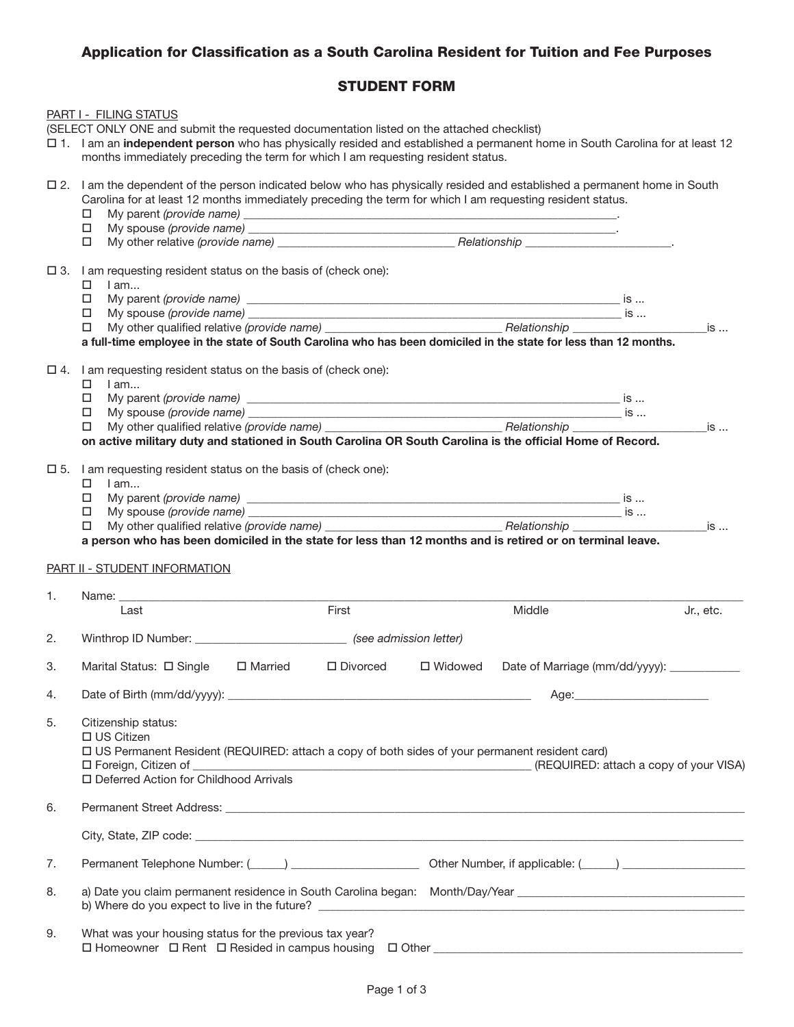## Application for Classification as a South Carolina Resident for Tuition and Fee Purposes

# STUDENT FORM

|    | PART I - FILING STATUS<br>(SELECT ONLY ONE and submit the requested documentation listed on the attached checklist)                                                                                                                                                                                                                   |                                                                                      |           |                                              |           |
|----|---------------------------------------------------------------------------------------------------------------------------------------------------------------------------------------------------------------------------------------------------------------------------------------------------------------------------------------|--------------------------------------------------------------------------------------|-----------|----------------------------------------------|-----------|
|    | 12 1. I am an independent person who has physically resided and established a permanent home in South Carolina for at least 12<br>months immediately preceding the term for which I am requesting resident status.                                                                                                                    |                                                                                      |           |                                              |           |
|    | □ 2. I am the dependent of the person indicated below who has physically resided and established a permanent home in South<br>Carolina for at least 12 months immediately preceding the term for which I am requesting resident status.<br>□                                                                                          |                                                                                      |           |                                              |           |
|    | $\Box$                                                                                                                                                                                                                                                                                                                                |                                                                                      |           |                                              |           |
|    | $\square$ 3. I am requesting resident status on the basis of (check one):<br>$I$ am<br>□<br>□                                                                                                                                                                                                                                         |                                                                                      |           |                                              |           |
|    | □                                                                                                                                                                                                                                                                                                                                     |                                                                                      |           |                                              |           |
|    | □                                                                                                                                                                                                                                                                                                                                     |                                                                                      |           |                                              |           |
|    | a full-time employee in the state of South Carolina who has been domiciled in the state for less than 12 months.<br>$\Box$ 4. I am requesting resident status on the basis of (check one):<br>0<br>$I$ am<br>□<br>□<br>□<br>on active military duty and stationed in South Carolina OR South Carolina is the official Home of Record. |                                                                                      |           |                                              |           |
|    | $\square$ 5. I am requesting resident status on the basis of (check one):<br>□<br>I am<br>□<br>$\Box$<br>□<br>a person who has been domiciled in the state for less than 12 months and is retired or on terminal leave.                                                                                                               |                                                                                      |           |                                              |           |
|    | PART II - STUDENT INFORMATION                                                                                                                                                                                                                                                                                                         |                                                                                      |           |                                              |           |
| 1. | Last                                                                                                                                                                                                                                                                                                                                  | First                                                                                |           | Middle                                       |           |
|    |                                                                                                                                                                                                                                                                                                                                       |                                                                                      |           |                                              | Jr., etc. |
| 2. | Winthrop ID Number: ________________________________ (see admission letter)                                                                                                                                                                                                                                                           |                                                                                      |           |                                              |           |
| 3. | Marital Status: □ Single □ Married                                                                                                                                                                                                                                                                                                    | $\square$ Divorced                                                                   | □ Widowed | Date of Marriage (mm/dd/yyyy): _____________ |           |
| 4. |                                                                                                                                                                                                                                                                                                                                       |                                                                                      |           |                                              |           |
| 5. | Citizenship status:<br>$\Box$ US Citizen<br>□ US Permanent Resident (REQUIRED: attach a copy of both sides of your permanent resident card)<br>$\Box$ Foreign, Citizen of _<br>□ Deferred Action for Childhood Arrivals                                                                                                               | (REQUIRED: attach a copy of your VISA) بمستقل (REQUIRED: attach a copy of your VISA) |           |                                              |           |
| 6. |                                                                                                                                                                                                                                                                                                                                       |                                                                                      |           |                                              |           |
|    |                                                                                                                                                                                                                                                                                                                                       |                                                                                      |           |                                              |           |
| 7. | Permanent Telephone Number: (Collection 2010) 2001 2012 0ther Number, if applicable: (Collection 2010) 2012 201                                                                                                                                                                                                                       |                                                                                      |           |                                              |           |
| 8. | a) Date you claim permanent residence in South Carolina began: Month/Day/Year ________________________________                                                                                                                                                                                                                        |                                                                                      |           |                                              |           |
| 9. | What was your housing status for the previous tax year?                                                                                                                                                                                                                                                                               |                                                                                      |           |                                              |           |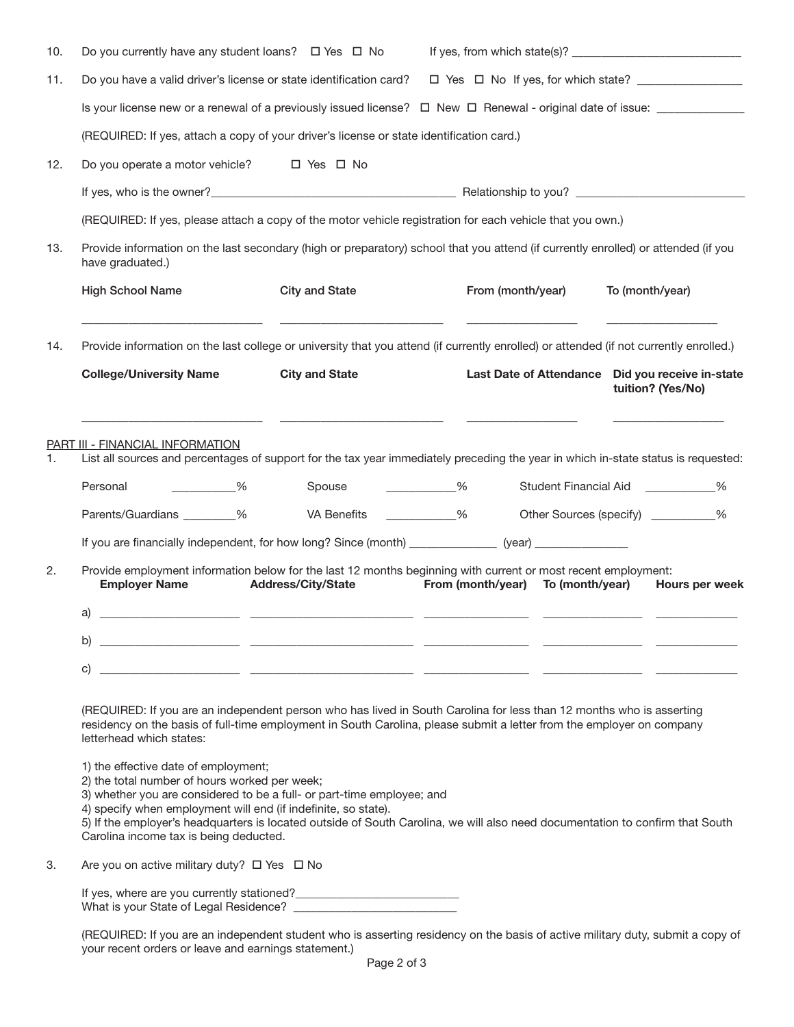| 10. | Do you currently have any student loans? $\Box$ Yes $\Box$ No                                                                                                                                     |                                                                                                                                                                                                                                               |                                      |                                                                       |  |  |  |  |
|-----|---------------------------------------------------------------------------------------------------------------------------------------------------------------------------------------------------|-----------------------------------------------------------------------------------------------------------------------------------------------------------------------------------------------------------------------------------------------|--------------------------------------|-----------------------------------------------------------------------|--|--|--|--|
| 11. |                                                                                                                                                                                                   | Do you have a valid driver's license or state identification card?                                                                                                                                                                            |                                      |                                                                       |  |  |  |  |
|     |                                                                                                                                                                                                   | Is your license new or a renewal of a previously issued license? $\Box$ New $\Box$ Renewal - original date of issue: _____________                                                                                                            |                                      |                                                                       |  |  |  |  |
|     |                                                                                                                                                                                                   | (REQUIRED: If yes, attach a copy of your driver's license or state identification card.)                                                                                                                                                      |                                      |                                                                       |  |  |  |  |
| 12. | Do you operate a motor vehicle? $\Box$ Yes $\Box$ No                                                                                                                                              |                                                                                                                                                                                                                                               |                                      |                                                                       |  |  |  |  |
|     |                                                                                                                                                                                                   |                                                                                                                                                                                                                                               |                                      |                                                                       |  |  |  |  |
|     |                                                                                                                                                                                                   | (REQUIRED: If yes, please attach a copy of the motor vehicle registration for each vehicle that you own.)                                                                                                                                     |                                      |                                                                       |  |  |  |  |
| 13. | have graduated.)                                                                                                                                                                                  | Provide information on the last secondary (high or preparatory) school that you attend (if currently enrolled) or attended (if you                                                                                                            |                                      |                                                                       |  |  |  |  |
|     | <b>High School Name</b>                                                                                                                                                                           | <b>City and State</b>                                                                                                                                                                                                                         | From (month/year)                    | To (month/year)                                                       |  |  |  |  |
| 14. |                                                                                                                                                                                                   | Provide information on the last college or university that you attend (if currently enrolled) or attended (if not currently enrolled.)                                                                                                        |                                      |                                                                       |  |  |  |  |
|     | <b>College/University Name</b>                                                                                                                                                                    | <b>City and State</b>                                                                                                                                                                                                                         |                                      | Last Date of Attendance Did you receive in-state<br>tuition? (Yes/No) |  |  |  |  |
| 1.  | <b>PART III - FINANCIAL INFORMATION</b><br>Personal<br>$\sim$ $\sim$ $\sim$ $\sim$ $\sim$                                                                                                         | List all sources and percentages of support for the tax year immediately preceding the year in which in-state status is requested:<br>Spouse ____________%                                                                                    |                                      | Student Financial Aid <b>No. 1998</b>                                 |  |  |  |  |
|     | Parents/Guardians ________%                                                                                                                                                                       | VA Benefits ___________%                                                                                                                                                                                                                      |                                      | $\frac{0}{0}$<br>Other Sources (specify) ___________                  |  |  |  |  |
|     |                                                                                                                                                                                                   | If you are financially independent, for how long? Since (month) ________________(year) ___________________                                                                                                                                    |                                      |                                                                       |  |  |  |  |
| 2.  | <b>Employer Name</b>                                                                                                                                                                              | Provide employment information below for the last 12 months beginning with current or most recent employment:<br><b>Address/City/State</b>                                                                                                    | From (month/year)<br>To (month/year) | Hours per week                                                        |  |  |  |  |
|     | a)                                                                                                                                                                                                |                                                                                                                                                                                                                                               |                                      |                                                                       |  |  |  |  |
|     | b)                                                                                                                                                                                                |                                                                                                                                                                                                                                               |                                      |                                                                       |  |  |  |  |
|     | C)                                                                                                                                                                                                |                                                                                                                                                                                                                                               |                                      |                                                                       |  |  |  |  |
|     | letterhead which states:                                                                                                                                                                          | (REQUIRED: If you are an independent person who has lived in South Carolina for less than 12 months who is asserting<br>residency on the basis of full-time employment in South Carolina, please submit a letter from the employer on company |                                      |                                                                       |  |  |  |  |
|     | 1) the effective date of employment;<br>2) the total number of hours worked per week;<br>4) specify when employment will end (if indefinite, so state).<br>Carolina income tax is being deducted. | 3) whether you are considered to be a full- or part-time employee; and<br>5) If the employer's headquarters is located outside of South Carolina, we will also need documentation to confirm that South                                       |                                      |                                                                       |  |  |  |  |
| З.  | Are you on active military duty? □ Yes □ No                                                                                                                                                       |                                                                                                                                                                                                                                               |                                      |                                                                       |  |  |  |  |
|     |                                                                                                                                                                                                   |                                                                                                                                                                                                                                               |                                      |                                                                       |  |  |  |  |

| (REQUIRED: If you are an independent student who is asserting residency on the basis of active military duty, submit a copy of |  |  |
|--------------------------------------------------------------------------------------------------------------------------------|--|--|
| your recent orders or leave and earnings statement.)                                                                           |  |  |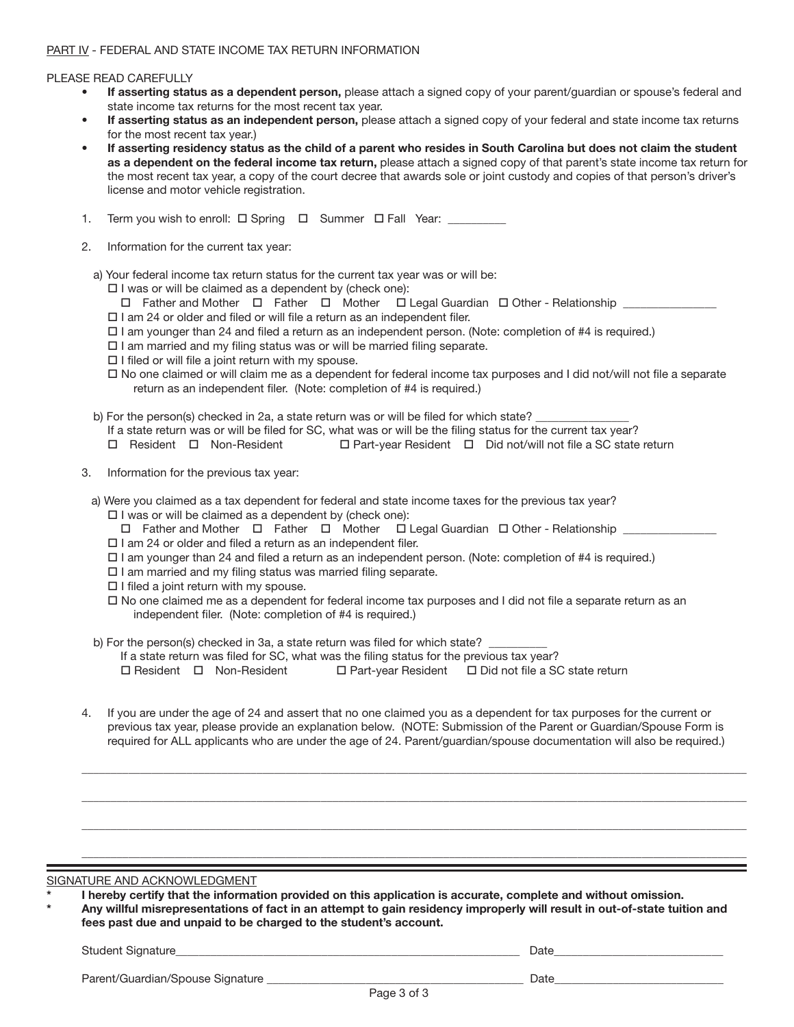#### PLEASE READ CAREFULLY

- If asserting status as a dependent person, please attach a signed copy of your parent/guardian or spouse's federal and state income tax returns for the most recent tax year.
- If asserting status as an independent person, please attach a signed copy of your federal and state income tax returns for the most recent tax year.)
- If asserting residency status as the child of a parent who resides in South Carolina but does not claim the student as a dependent on the federal income tax return, please attach a signed copy of that parent's state income tax return for the most recent tax year, a copy of the court decree that awards sole or joint custody and copies of that person's driver's license and motor vehicle registration.

| Term you wish to enroll: $\Box$ Spring $\Box$ Summer $\Box$ Fall Year: |  |  |  |
|------------------------------------------------------------------------|--|--|--|
|                                                                        |  |  |  |

- 2. Information for the current tax year:
	- a) Your federal income tax return status for the current tax year was or will be:
		- $\Box$  I was or will be claimed as a dependent by (check one):

 $\Box$  Father and Mother  $\Box$  Father  $\Box$  Mother  $\Box$  Legal Guardian  $\Box$  Other - Relationship

- $\Box$  I am 24 or older and filed or will file a return as an independent filer.
- $\Box$  I am younger than 24 and filed a return as an independent person. (Note: completion of #4 is required.)
- $\Box$  I am married and my filing status was or will be married filing separate.
- $\Box$  I filed or will file a joint return with my spouse.
- $\Box$  No one claimed or will claim me as a dependent for federal income tax purposes and I did not/will not file a separate return as an independent filer. (Note: completion of #4 is required.)
- b) For the person(s) checked in 2a, a state return was or will be filed for which state?
	- If a state return was or will be filed for SC, what was or will be the filing status for the current tax year?
	- $\Box$  Resident  $\Box$  Non-Resident  $\Box$  Part-year Resident  $\Box$  Did not/will not file a SC state return
- 3. Information for the previous tax year:
- a) Were you claimed as a tax dependent for federal and state income taxes for the previous tax year?
	- $\square$  I was or will be claimed as a dependent by (check one):
	- $\Box$  Father and Mother  $\Box$  Father  $\Box$  Mother  $\Box$  Legal Guardian  $\Box$  Other Relationship \_
	- $\square$  I am 24 or older and filed a return as an independent filer.
	- $\Box$  I am younger than 24 and filed a return as an independent person. (Note: completion of #4 is required.)
	- $\Box$  I am married and my filing status was married filing separate.
	- $\Box$  I filed a joint return with my spouse.
	- $\Box$  No one claimed me as a dependent for federal income tax purposes and I did not file a separate return as an independent filer. (Note: completion of #4 is required.)
- b) For the person(s) checked in 3a, a state return was filed for which state?

If a state return was filed for SC, what was the filing status for the previous tax year?

- $\Box$  Resident  $\Box$  Non-Resident  $\Box$  Part-year Resident  $\Box$  Did not file a SC state return
- 4. If you are under the age of 24 and assert that no one claimed you as a dependent for tax purposes for the current or previous tax year, please provide an explanation below. (NOTE: Submission of the Parent or Guardian/Spouse Form is required for ALL applicants who are under the age of 24. Parent/guardian/spouse documentation will also be required.)

*\_\_\_\_\_\_\_\_\_\_\_\_\_\_\_\_\_\_\_\_\_\_\_\_\_\_\_\_\_\_\_\_\_\_\_\_\_\_\_\_\_\_\_\_\_\_\_\_\_\_\_\_\_\_\_\_\_\_\_\_\_\_\_\_\_\_\_\_\_\_\_\_\_\_\_\_\_\_\_\_\_\_\_\_\_\_\_\_\_\_\_\_\_\_\_\_\_\_\_\_\_\_\_\_\_\_\_\_\_\_\_\_\_\_*

*\_\_\_\_\_\_\_\_\_\_\_\_\_\_\_\_\_\_\_\_\_\_\_\_\_\_\_\_\_\_\_\_\_\_\_\_\_\_\_\_\_\_\_\_\_\_\_\_\_\_\_\_\_\_\_\_\_\_\_\_\_\_\_\_\_\_\_\_\_\_\_\_\_\_\_\_\_\_\_\_\_\_\_\_\_\_\_\_\_\_\_\_\_\_\_\_\_\_\_\_\_\_\_\_\_\_\_\_\_\_\_\_\_\_*

*\_\_\_\_\_\_\_\_\_\_\_\_\_\_\_\_\_\_\_\_\_\_\_\_\_\_\_\_\_\_\_\_\_\_\_\_\_\_\_\_\_\_\_\_\_\_\_\_\_\_\_\_\_\_\_\_\_\_\_\_\_\_\_\_\_\_\_\_\_\_\_\_\_\_\_\_\_\_\_\_\_\_\_\_\_\_\_\_\_\_\_\_\_\_\_\_\_\_\_\_\_\_\_\_\_\_\_\_\_\_\_\_\_\_*

*\_\_\_\_\_\_\_\_\_\_\_\_\_\_\_\_\_\_\_\_\_\_\_\_\_\_\_\_\_\_\_\_\_\_\_\_\_\_\_\_\_\_\_\_\_\_\_\_\_\_\_\_\_\_\_\_\_\_\_\_\_\_\_\_\_\_\_\_\_\_\_\_\_\_\_\_\_\_\_\_\_\_\_\_\_\_\_\_\_\_\_\_\_\_\_\_\_\_\_\_\_\_\_\_\_\_\_\_\_\_\_\_\_\_*

#### SIGNATURE AND ACKNOWLEDGMENT

|  |  | I hereby certify that the information provided on this application is accurate, complete and without omission. |  |
|--|--|----------------------------------------------------------------------------------------------------------------|--|
|  |  |                                                                                                                |  |

Any willful misrepresentations of fact in an attempt to gain residency improperly will result in out-of-state tuition and fees past due and unpaid to be charged to the student's account.

Student Signature\_\_\_\_\_\_\_\_\_\_\_\_\_\_\_\_\_\_\_\_\_\_\_\_\_\_\_\_\_\_\_\_\_\_\_\_\_\_\_\_\_\_\_\_\_\_\_\_\_\_\_\_\_\_\_\_\_\_\_ Date\_\_\_\_\_\_\_\_\_\_\_\_\_\_\_\_\_\_\_\_\_\_\_\_\_\_\_\_\_

Parent/Guardian/Spouse Signature \_\_\_\_\_\_\_\_\_\_\_\_\_\_\_\_\_\_\_\_\_\_\_\_\_\_\_\_\_\_\_\_\_\_\_\_\_\_\_\_\_\_\_\_ Date\_\_\_\_\_\_\_\_\_\_\_\_\_\_\_\_\_\_\_\_\_\_\_\_\_\_\_\_\_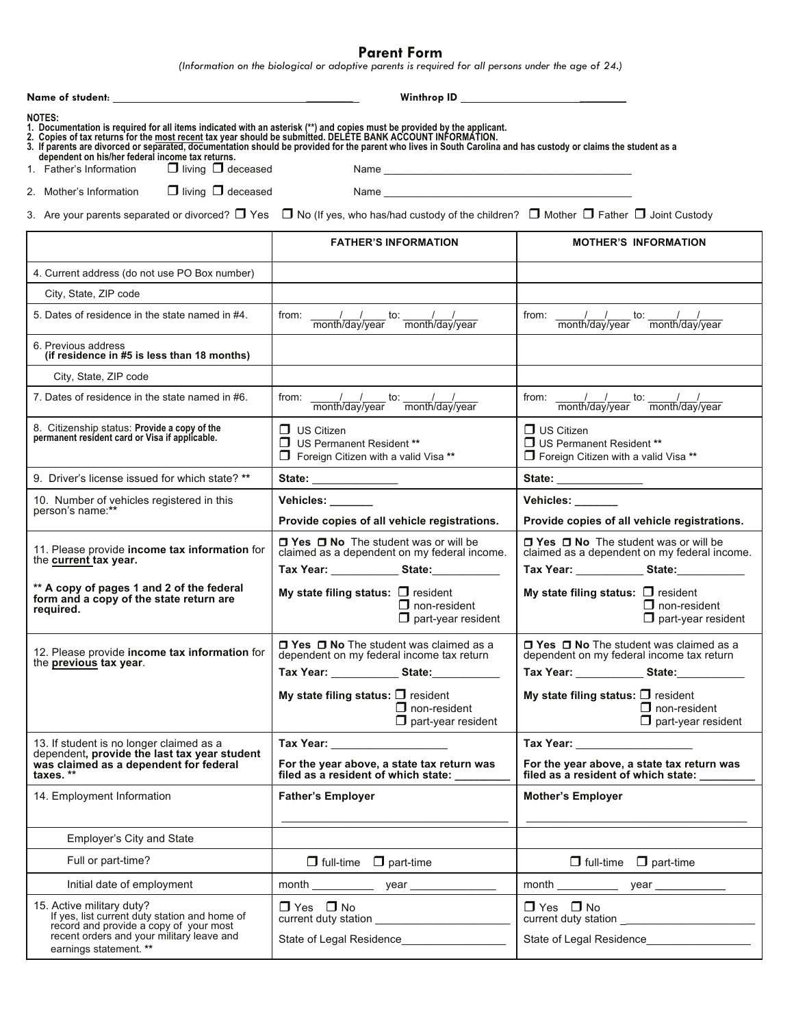**Parent Form**

*(Information on the biological or adoptive parents is required for all persons under the age of 24.)*

|                                                                                                                                                                                                                                                                                                                                                                                                                                                                                                | Winthrop ID <u>__________________________</u>                                                             |                                                                                                           |  |  |
|------------------------------------------------------------------------------------------------------------------------------------------------------------------------------------------------------------------------------------------------------------------------------------------------------------------------------------------------------------------------------------------------------------------------------------------------------------------------------------------------|-----------------------------------------------------------------------------------------------------------|-----------------------------------------------------------------------------------------------------------|--|--|
| <b>NOTES:</b><br>1. Documentation is required for all items indicated with an asterisk (**) and copies must be provided by the applicant.<br>2. Copies of tax returns for the most recent tax year should be submitted. DELETE BANK ACCOUNT INFORMATION.<br>3. If parents are divorced or separated, documentation should be provided for the parent who lives in South Caroli<br>dependent on his/her federal income tax returns.<br>$\Box$ living $\Box$ deceased<br>1. Father's Information |                                                                                                           |                                                                                                           |  |  |
| $\Box$ living $\Box$ deceased<br>2. Mother's Information                                                                                                                                                                                                                                                                                                                                                                                                                                       |                                                                                                           |                                                                                                           |  |  |
| 3. Are your parents separated or divorced? $\Box$ Yes $\Box$ No (If yes, who has/had custody of the children? $\Box$ Mother $\Box$ Father $\Box$ Joint Custody                                                                                                                                                                                                                                                                                                                                 |                                                                                                           |                                                                                                           |  |  |
|                                                                                                                                                                                                                                                                                                                                                                                                                                                                                                | <b>FATHER'S INFORMATION</b>                                                                               | <b>MOTHER'S INFORMATION</b>                                                                               |  |  |
| 4. Current address (do not use PO Box number)                                                                                                                                                                                                                                                                                                                                                                                                                                                  |                                                                                                           |                                                                                                           |  |  |
| City, State, ZIP code                                                                                                                                                                                                                                                                                                                                                                                                                                                                          |                                                                                                           |                                                                                                           |  |  |
| 5. Dates of residence in the state named in #4.                                                                                                                                                                                                                                                                                                                                                                                                                                                | from: $\frac{1}{\text{month}/\text{day}/\text{year}}$ to: $\frac{1}{\text{month}/\text{day}/\text{year}}$ | from: $\frac{1}{\text{month}/\text{day}/\text{year}}$ to: $\frac{1}{\text{month}/\text{day}/\text{year}}$ |  |  |
| 6. Previous address<br>(if residence in #5 is less than 18 months)                                                                                                                                                                                                                                                                                                                                                                                                                             |                                                                                                           |                                                                                                           |  |  |
| City, State, ZIP code                                                                                                                                                                                                                                                                                                                                                                                                                                                                          |                                                                                                           |                                                                                                           |  |  |
| 7. Dates of residence in the state named in #6.                                                                                                                                                                                                                                                                                                                                                                                                                                                | from: $\frac{1}{\text{month}/\text{day}/\text{year}}$ to: $\frac{1}{\text{month}/\text{day}/\text{year}}$ | from: $\frac{1}{\text{month}/\text{day}/\text{year}}$ to: $\frac{1}{\text{month}/\text{day}/\text{year}}$ |  |  |
| 8. Citizenship status: Provide a copy of the<br>permanent resident card or Visa if applicable.                                                                                                                                                                                                                                                                                                                                                                                                 | $\Box$ US Citizen<br>US Permanent Resident **<br>Foreign Citizen with a valid Visa **                     | $\Box$ US Citizen<br>US Permanent Resident **<br>Foreign Citizen with a valid Visa **                     |  |  |
| 9. Driver's license issued for which state? **                                                                                                                                                                                                                                                                                                                                                                                                                                                 |                                                                                                           |                                                                                                           |  |  |
| 10. Number of vehicles registered in this<br>person's name:**                                                                                                                                                                                                                                                                                                                                                                                                                                  | Vehicles: _____<br>Provide copies of all vehicle registrations.                                           | Vehicles: ______<br>Provide copies of all vehicle registrations.                                          |  |  |
| 11. Please provide income tax information for<br>the current tax year.                                                                                                                                                                                                                                                                                                                                                                                                                         | $\Box$ Yes $\Box$ No The student was or will be<br>claimed as a dependent on my federal income.           | $\Box$ Yes $\Box$ No The student was or will be<br>claimed as a dependent on my federal income.           |  |  |
| ** A copy of pages 1 and 2 of the federal<br>form and a copy of the state return are<br>required.                                                                                                                                                                                                                                                                                                                                                                                              | My state filing status: $\Box$ resident<br>$\Box$ non-resident<br>$\Box$ part-year resident               | My state filing status: $\Box$ resident<br>$\Box$ non-resident<br>$\Box$ part-year resident               |  |  |
| 12. Please provide income tax information for<br>the previous tax year.                                                                                                                                                                                                                                                                                                                                                                                                                        | □ Yes □ No The student was claimed as a<br>dependent on my federal income tax return<br>Tax Year: State:  | □ Yes □ No The student was claimed as a<br>dependent on my federal income tax return                      |  |  |
|                                                                                                                                                                                                                                                                                                                                                                                                                                                                                                | My state filing status: $\Box$ resident<br>$\Box$ non-resident<br>$\Box$ part-year resident               | My state filing status: $\Box$ resident<br>$\Box$ non-resident<br>$\Box$ part-year resident               |  |  |
| 13. If student is no longer claimed as a<br>dependent, provide the last tax year student                                                                                                                                                                                                                                                                                                                                                                                                       | Tax Year: _____________________                                                                           | Tax Year: ____________________                                                                            |  |  |
| was claimed as a dependent for federal<br>taxes. **                                                                                                                                                                                                                                                                                                                                                                                                                                            | For the year above, a state tax return was<br>filed as a resident of which state:                         | For the year above, a state tax return was<br>filed as a resident of which state: _____                   |  |  |
| 14. Employment Information                                                                                                                                                                                                                                                                                                                                                                                                                                                                     | <b>Father's Employer</b>                                                                                  | <b>Mother's Employer</b>                                                                                  |  |  |
| Employer's City and State                                                                                                                                                                                                                                                                                                                                                                                                                                                                      |                                                                                                           |                                                                                                           |  |  |
| Full or part-time?                                                                                                                                                                                                                                                                                                                                                                                                                                                                             | $\Box$ full-time $\Box$ part-time                                                                         | $\Box$ full-time $\Box$ part-time                                                                         |  |  |
| Initial date of employment                                                                                                                                                                                                                                                                                                                                                                                                                                                                     |                                                                                                           |                                                                                                           |  |  |
| 15. Active military duty?<br>If yes, list current duty station and home of<br>record and provide a copy of your most                                                                                                                                                                                                                                                                                                                                                                           | $\Box$ Yes $\Box$ No                                                                                      | $\Box$ Yes $\Box$ No                                                                                      |  |  |
| recent orders and your military leave and<br>earnings statement. **                                                                                                                                                                                                                                                                                                                                                                                                                            |                                                                                                           |                                                                                                           |  |  |